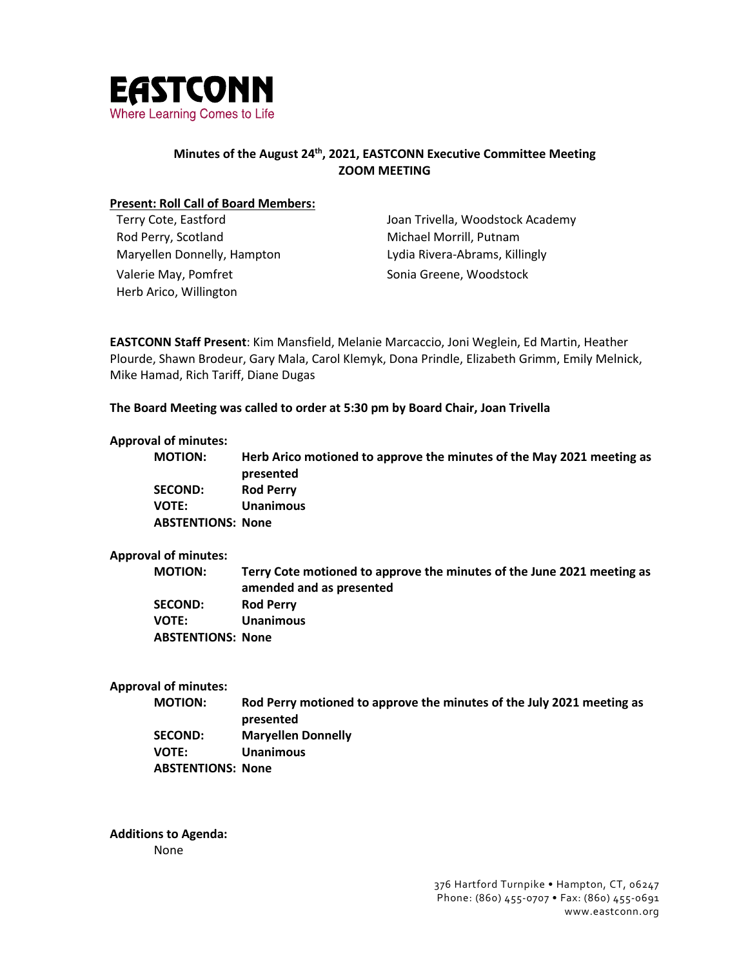

# **Minutes of the August 24th, 2021, EASTCONN Executive Committee Meeting ZOOM MEETING**

#### **Present: Roll Call of Board Members:**

| Terry Cote, Eastford        | Joan Trivella, Woodstock Academy |
|-----------------------------|----------------------------------|
| Rod Perry, Scotland         | Michael Morrill, Putnam          |
| Maryellen Donnelly, Hampton | Lydia Rivera-Abrams, Killingly   |
| Valerie May, Pomfret        | Sonia Greene, Woodstock          |
| Herb Arico, Willington      |                                  |

**EASTCONN Staff Present**: Kim Mansfield, Melanie Marcaccio, Joni Weglein, Ed Martin, Heather Plourde, Shawn Brodeur, Gary Mala, Carol Klemyk, Dona Prindle, Elizabeth Grimm, Emily Melnick, Mike Hamad, Rich Tariff, Diane Dugas

**The Board Meeting was called to order at 5:30 pm by Board Chair, Joan Trivella**

#### **Approval of minutes:**

| <b>MOTION:</b>           | Herb Arico motioned to approve the minutes of the May 2021 meeting as |
|--------------------------|-----------------------------------------------------------------------|
|                          | presented                                                             |
| <b>SECOND:</b>           | <b>Rod Perry</b>                                                      |
| VOTE:                    | <b>Unanimous</b>                                                      |
| <b>ABSTENTIONS: None</b> |                                                                       |
|                          |                                                                       |

#### **Approval of minutes:**

**MOTION: Terry Cote motioned to approve the minutes of the June 2021 meeting as amended and as presented SECOND: Rod Perry VOTE: Unanimous ABSTENTIONS: None**

# **Approval of minutes:**

| <b>MOTION:</b>           | Rod Perry motioned to approve the minutes of the July 2021 meeting as |
|--------------------------|-----------------------------------------------------------------------|
|                          | presented                                                             |
| <b>SECOND:</b>           | <b>Maryellen Donnelly</b>                                             |
| <b>VOTE:</b>             | <b>Unanimous</b>                                                      |
| <b>ABSTENTIONS: None</b> |                                                                       |

**Additions to Agenda:**

None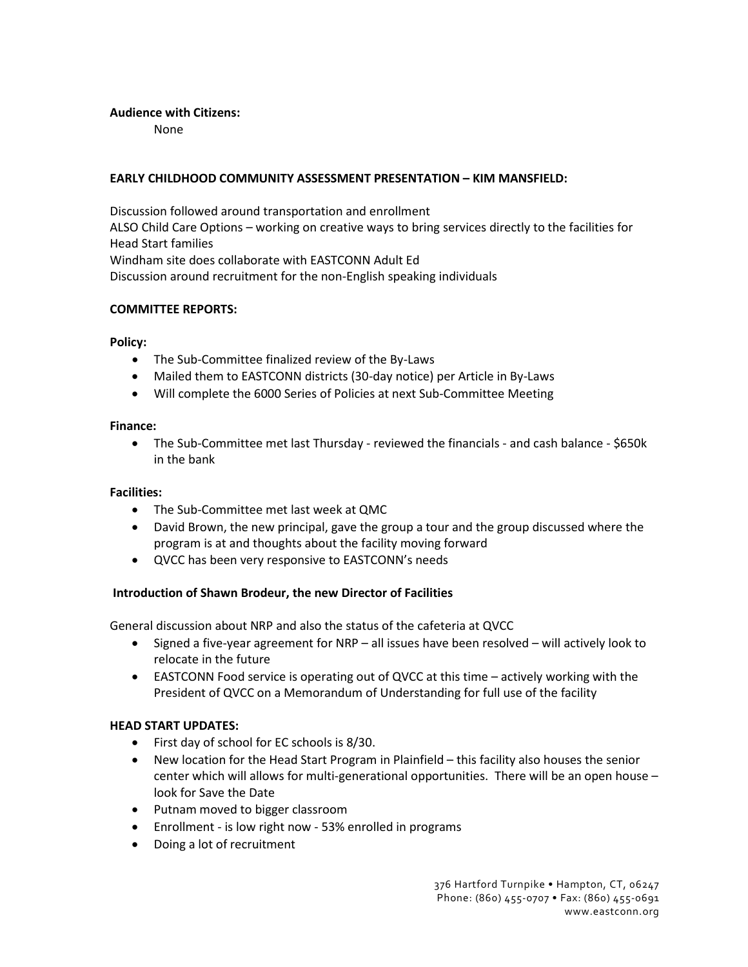### **Audience with Citizens:**

None

# **EARLY CHILDHOOD COMMUNITY ASSESSMENT PRESENTATION – KIM MANSFIELD:**

Discussion followed around transportation and enrollment ALSO Child Care Options – working on creative ways to bring services directly to the facilities for Head Start families Windham site does collaborate with EASTCONN Adult Ed Discussion around recruitment for the non-English speaking individuals

# **COMMITTEE REPORTS:**

# **Policy:**

- The Sub-Committee finalized review of the By-Laws
- Mailed them to EASTCONN districts (30-day notice) per Article in By-Laws
- Will complete the 6000 Series of Policies at next Sub-Committee Meeting

#### **Finance:**

• The Sub-Committee met last Thursday - reviewed the financials - and cash balance - \$650k in the bank

# **Facilities:**

- The Sub-Committee met last week at QMC
- David Brown, the new principal, gave the group a tour and the group discussed where the program is at and thoughts about the facility moving forward
- QVCC has been very responsive to EASTCONN's needs

# **Introduction of Shawn Brodeur, the new Director of Facilities**

General discussion about NRP and also the status of the cafeteria at QVCC

- $\bullet$  Signed a five-year agreement for NRP all issues have been resolved will actively look to relocate in the future
- $\bullet$  EASTCONN Food service is operating out of QVCC at this time actively working with the President of QVCC on a Memorandum of Understanding for full use of the facility

# **HEAD START UPDATES:**

- $\bullet$  First day of school for EC schools is 8/30.
- New location for the Head Start Program in Plainfield this facility also houses the senior center which will allows for multi-generational opportunities. There will be an open house – look for Save the Date
- Putnam moved to bigger classroom
- Enrollment is low right now 53% enrolled in programs
- Doing a lot of recruitment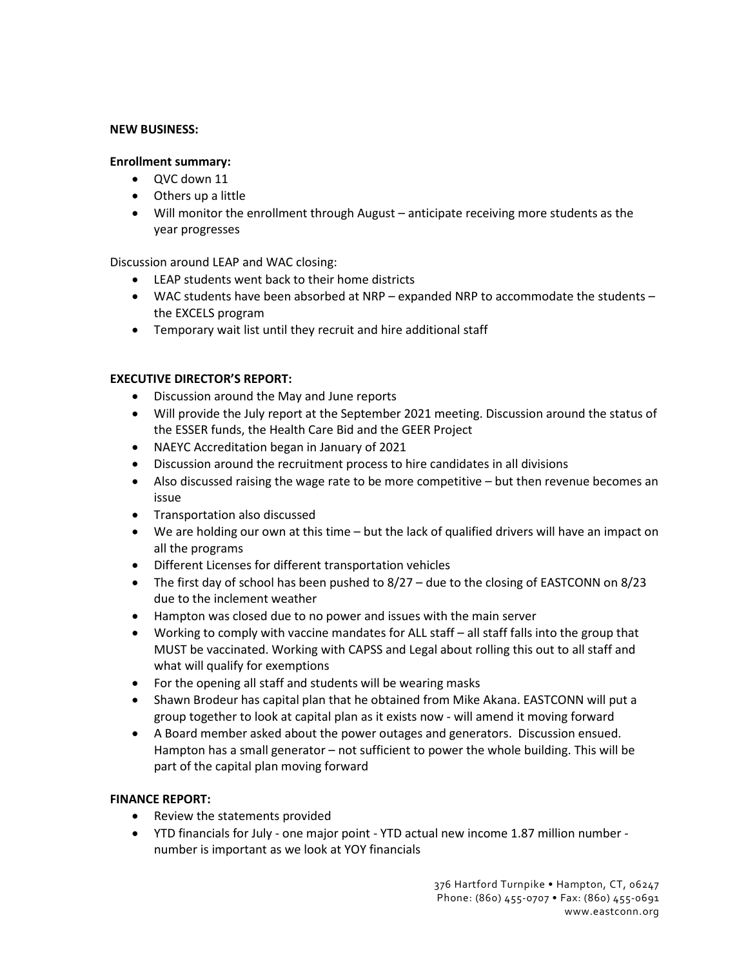### **NEW BUSINESS:**

# **Enrollment summary:**

- $\bullet$  QVC down 11
- $\bullet$  Others up a little
- Will monitor the enrollment through August anticipate receiving more students as the year progresses

Discussion around LEAP and WAC closing:

- LEAP students went back to their home districts
- $\bullet$  WAC students have been absorbed at NRP expanded NRP to accommodate the students the EXCELS program
- Temporary wait list until they recruit and hire additional staff

# **EXECUTIVE DIRECTOR'S REPORT:**

- Discussion around the May and June reports
- Will provide the July report at the September 2021 meeting. Discussion around the status of the ESSER funds, the Health Care Bid and the GEER Project
- NAEYC Accreditation began in January of 2021
- Discussion around the recruitment process to hire candidates in all divisions
- Also discussed raising the wage rate to be more competitive but then revenue becomes an issue
- Transportation also discussed
- $\bullet$  We are holding our own at this time but the lack of qualified drivers will have an impact on all the programs
- Different Licenses for different transportation vehicles
- The first day of school has been pushed to  $8/27 -$  due to the closing of EASTCONN on  $8/23$ due to the inclement weather
- Hampton was closed due to no power and issues with the main server
- Working to comply with vaccine mandates for ALL staff all staff falls into the group that MUST be vaccinated. Working with CAPSS and Legal about rolling this out to all staff and what will qualify for exemptions
- For the opening all staff and students will be wearing masks
- Shawn Brodeur has capital plan that he obtained from Mike Akana. EASTCONN will put a group together to look at capital plan as it exists now - will amend it moving forward
- A Board member asked about the power outages and generators. Discussion ensued. Hampton has a small generator – not sufficient to power the whole building. This will be part of the capital plan moving forward

#### **FINANCE REPORT:**

- Review the statements provided
- YTD financials for July one major point YTD actual new income 1.87 million number number is important as we look at YOY financials